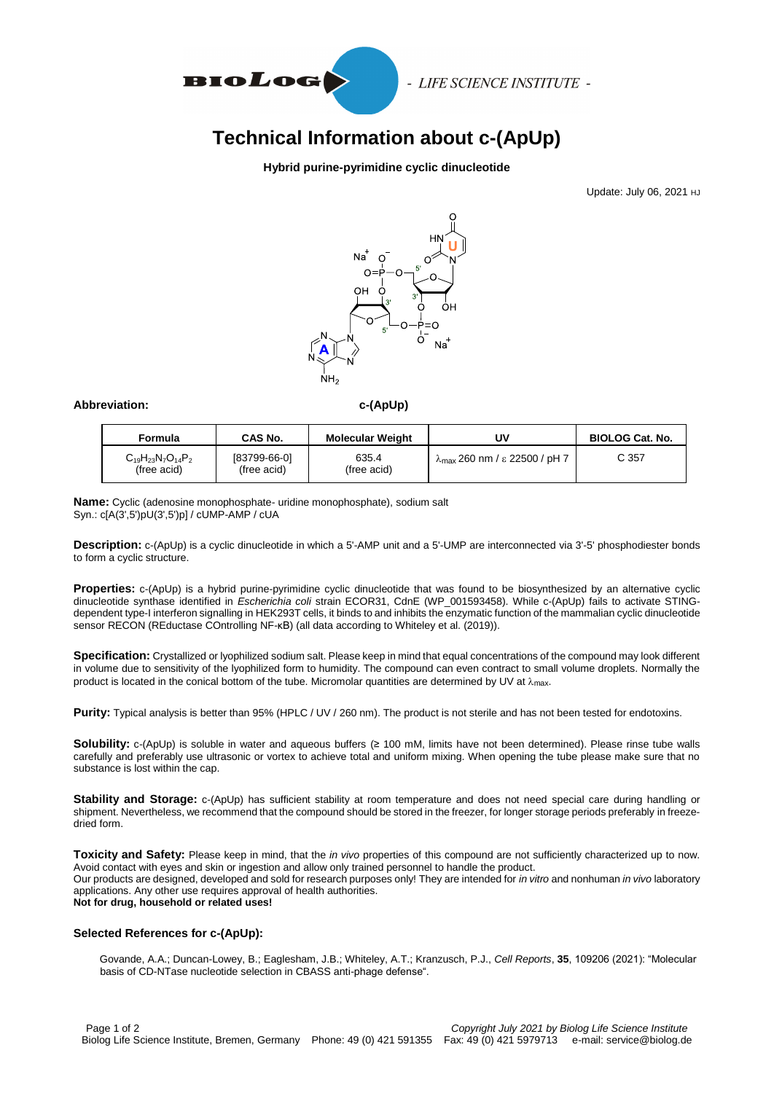

- LIFE SCIENCE INSTITUTE -

# **Technical Information about c-(ApUp)**

### **Hybrid purine-pyrimidine cyclic dinucleotide**

Update: July 06, 2021 HJ



#### Abbreviation: C-(ApUp)

| Formula                                   | CAS No.                     | <b>Molecular Weight</b> | UV                                             | <b>BIOLOG Cat. No.</b> |
|-------------------------------------------|-----------------------------|-------------------------|------------------------------------------------|------------------------|
| $C_{19}H_{23}N_7O_{14}P_2$<br>(free acid) | [83799-66-0]<br>(free acid) | 635.4<br>(free acid)    | $\lambda_{\text{max}}$ 260 nm / ε 22500 / pH 7 | C 357                  |

**Name:** Cyclic (adenosine monophosphate- uridine monophosphate), sodium salt Syn.: c[A(3',5')pU(3',5')p] / cUMP-AMP / cUA

**Description:** c-(ApUp) is a cyclic dinucleotide in which a 5'-AMP unit and a 5'-UMP are interconnected via 3'-5' phosphodiester bonds to form a cyclic structure.

**Properties:** c-(ApUp) is a hybrid purine-pyrimidine cyclic dinucleotide that was found to be biosynthesized by an alternative cyclic dinucleotide synthase identified in *Escherichia coli* strain ECOR31, CdnE (WP\_001593458). While c-(ApUp) fails to activate STINGdependent type-I interferon signalling in HEK293T cells, it binds to and inhibits the enzymatic function of the mammalian cyclic dinucleotide sensor RECON (REductase COntrolling NF-κB) (all data according to Whiteley et al. (2019)).

**Specification:** Crystallized or lyophilized sodium salt. Please keep in mind that equal concentrations of the compound may look different in volume due to sensitivity of the lyophilized form to humidity. The compound can even contract to small volume droplets. Normally the product is located in the conical bottom of the tube. Micromolar quantities are determined by UV at  $\lambda_{\text{max}}$ .

**Purity:** Typical analysis is better than 95% (HPLC / UV / 260 nm). The product is not sterile and has not been tested for endotoxins.

**Solubility:** c-(ApUp) is soluble in water and aqueous buffers (≥ 100 mM, limits have not been determined). Please rinse tube walls carefully and preferably use ultrasonic or vortex to achieve total and uniform mixing. When opening the tube please make sure that no substance is lost within the cap.

**Stability and Storage:** c-(ApUp) has sufficient stability at room temperature and does not need special care during handling or shipment. Nevertheless, we recommend that the compound should be stored in the freezer, for longer storage periods preferably in freezedried form.

**Toxicity and Safety:** Please keep in mind, that the *in vivo* properties of this compound are not sufficiently characterized up to now. Avoid contact with eyes and skin or ingestion and allow only trained personnel to handle the product. Our products are designed, developed and sold for research purposes only! They are intended for *in vitro* and nonhuman *in vivo* laboratory applications. Any other use requires approval of health authorities. **Not for drug, household or related uses!**

#### **Selected References for c-(ApUp):**

Govande, A.A.; Duncan-Lowey, B.; Eaglesham, J.B.; Whiteley, A.T.; Kranzusch, P.J., *Cell Reports*, **35**, 109206 (2021): "Molecular basis of CD-NTase nucleotide selection in CBASS anti-phage defense".